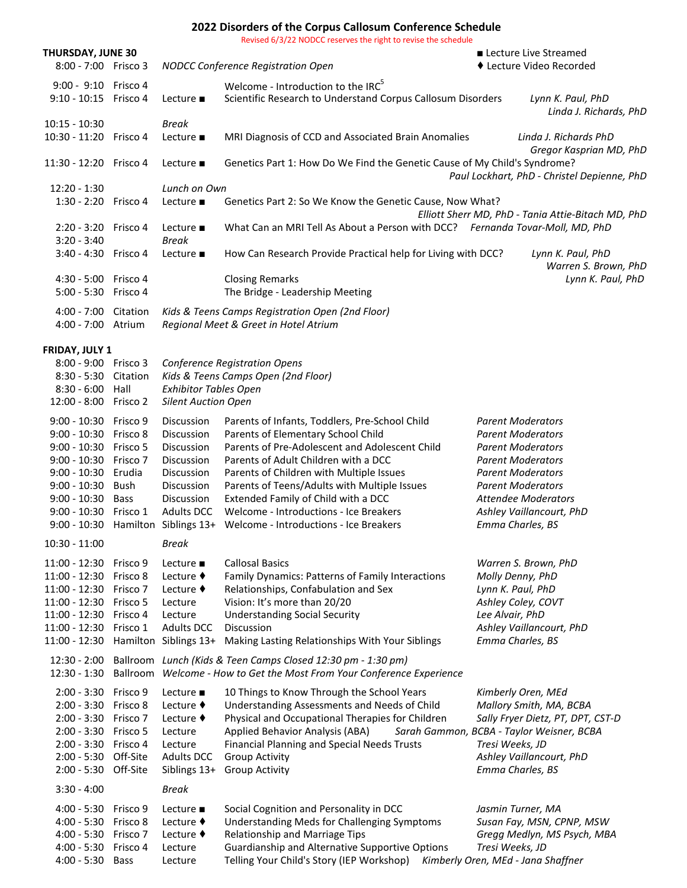## **2022 Disorders of the Corpus Callosum Conference Schedule**

Revised 6/3/22 NODCC reserves the right to revise the schedule

|                                                                                                                                                                                                                  |                                              |                                                                                                                                         | Revised by 37ZZ NODCC reserves the right to revise the scriedule                                                                                                                                                                                                                                                                                                                                      |                                                                                                 |                                                                                                                                                                                                                                |
|------------------------------------------------------------------------------------------------------------------------------------------------------------------------------------------------------------------|----------------------------------------------|-----------------------------------------------------------------------------------------------------------------------------------------|-------------------------------------------------------------------------------------------------------------------------------------------------------------------------------------------------------------------------------------------------------------------------------------------------------------------------------------------------------------------------------------------------------|-------------------------------------------------------------------------------------------------|--------------------------------------------------------------------------------------------------------------------------------------------------------------------------------------------------------------------------------|
| THURSDAY, JUNE 30<br>8:00 - 7:00 Frisco 3                                                                                                                                                                        |                                              | NODCC Conference Registration Open                                                                                                      |                                                                                                                                                                                                                                                                                                                                                                                                       | Lecture Live Streamed<br>◆ Lecture Video Recorded                                               |                                                                                                                                                                                                                                |
| 9:00 - 9:10 Frisco 4<br>$9:10 - 10:15$                                                                                                                                                                           | Frisco 4                                     | Lecture $\blacksquare$                                                                                                                  | Welcome - Introduction to the IRC <sup>5</sup><br>Scientific Research to Understand Corpus Callosum Disorders                                                                                                                                                                                                                                                                                         |                                                                                                 | Lynn K. Paul, PhD<br>Linda J. Richards, PhD                                                                                                                                                                                    |
| $10:15 - 10:30$<br>10:30 - 11:20 Frisco 4                                                                                                                                                                        |                                              | <b>Break</b><br>Lecture $\blacksquare$                                                                                                  | MRI Diagnosis of CCD and Associated Brain Anomalies                                                                                                                                                                                                                                                                                                                                                   | Linda J. Richards PhD<br>Gregor Kasprian MD, PhD<br>Paul Lockhart, PhD - Christel Depienne, PhD |                                                                                                                                                                                                                                |
| 11:30 - 12:20 Frisco 4                                                                                                                                                                                           |                                              | Lecture $\blacksquare$                                                                                                                  | Genetics Part 1: How Do We Find the Genetic Cause of My Child's Syndrome?                                                                                                                                                                                                                                                                                                                             |                                                                                                 |                                                                                                                                                                                                                                |
| $12:20 - 1:30$<br>1:30 - 2:20 Frisco 4                                                                                                                                                                           |                                              | Lunch on Own<br>Lecture $\blacksquare$                                                                                                  | Genetics Part 2: So We Know the Genetic Cause, Now What?<br>Elliott Sherr MD, PhD - Tania Attie-Bitach MD, PhD                                                                                                                                                                                                                                                                                        |                                                                                                 |                                                                                                                                                                                                                                |
| 2:20 - 3:20 Frisco 4<br>$3:20 - 3:40$                                                                                                                                                                            |                                              | Lecture $\blacksquare$<br><b>Break</b>                                                                                                  | What Can an MRI Tell As About a Person with DCC? Fernanda Tovar-Moll, MD, PhD                                                                                                                                                                                                                                                                                                                         |                                                                                                 |                                                                                                                                                                                                                                |
| 3:40 - 4:30 Frisco 4                                                                                                                                                                                             |                                              | Lecture $\blacksquare$                                                                                                                  | How Can Research Provide Practical help for Living with DCC?                                                                                                                                                                                                                                                                                                                                          | Lynn K. Paul, PhD<br>Warren S. Brown, PhD<br>Lynn K. Paul, PhD                                  |                                                                                                                                                                                                                                |
| 4:30 - 5:00 Frisco 4<br>5:00 - 5:30 Frisco 4                                                                                                                                                                     |                                              |                                                                                                                                         | <b>Closing Remarks</b><br>The Bridge - Leadership Meeting                                                                                                                                                                                                                                                                                                                                             |                                                                                                 |                                                                                                                                                                                                                                |
| 4:00 - 7:00 Citation<br>4:00 - 7:00 Atrium                                                                                                                                                                       |                                              |                                                                                                                                         | Kids & Teens Camps Registration Open (2nd Floor)<br>Regional Meet & Greet in Hotel Atrium                                                                                                                                                                                                                                                                                                             |                                                                                                 |                                                                                                                                                                                                                                |
| FRIDAY, JULY 1<br>8:00 - 9:00 Frisco 3<br>8:30 - 5:30 Citation<br>$8:30 - 6:00$ Hall<br>12:00 - 8:00 Frisco 2                                                                                                    |                                              | <b>Exhibitor Tables Open</b><br><b>Silent Auction Open</b>                                                                              | <b>Conference Registration Opens</b><br>Kids & Teens Camps Open (2nd Floor)                                                                                                                                                                                                                                                                                                                           |                                                                                                 |                                                                                                                                                                                                                                |
| 9:00 - 10:30 Frisco 9<br>9:00 - 10:30 Frisco 8<br>9:00 - 10:30 Frisco 5<br>9:00 - 10:30 Frisco 7<br>9:00 - 10:30 Erudia<br>$9:00 - 10:30$<br>9:00 - 10:30 Bass<br>9:00 - 10:30 Frisco 1<br>9:00 - 10:30 Hamilton | Bush                                         | Discussion<br>Discussion<br>Discussion<br>Discussion<br>Discussion<br>Discussion<br>Discussion<br><b>Adults DCC</b><br>Siblings 13+     | Parents of Infants, Toddlers, Pre-School Child<br>Parents of Elementary School Child<br>Parents of Pre-Adolescent and Adolescent Child<br>Parents of Adult Children with a DCC<br>Parents of Children with Multiple Issues<br>Parents of Teens/Adults with Multiple Issues<br>Extended Family of Child with a DCC<br>Welcome - Introductions - Ice Breakers<br>Welcome - Introductions - Ice Breakers | Emma Charles, BS                                                                                | <b>Parent Moderators</b><br><b>Parent Moderators</b><br><b>Parent Moderators</b><br><b>Parent Moderators</b><br><b>Parent Moderators</b><br><b>Parent Moderators</b><br><b>Attendee Moderators</b><br>Ashley Vaillancourt, PhD |
| $10:30 - 11:00$                                                                                                                                                                                                  |                                              | Break                                                                                                                                   |                                                                                                                                                                                                                                                                                                                                                                                                       |                                                                                                 |                                                                                                                                                                                                                                |
| 11:00 - 12:30 Frisco 9<br>11:00 - 12:30<br>11:00 - 12:30<br>11:00 - 12:30 Frisco 5<br>11:00 - 12:30 Frisco 4<br>11:00 - 12:30<br>11:00 - 12:30                                                                   | Frisco 8<br>Frisco 7<br>Frisco 1<br>Hamilton | Lecture $\blacksquare$<br>Lecture $\blacklozenge$<br>Lecture $\blacklozenge$<br>Lecture<br>Lecture<br><b>Adults DCC</b><br>Siblings 13+ | <b>Callosal Basics</b><br>Family Dynamics: Patterns of Family Interactions<br>Relationships, Confabulation and Sex<br>Vision: It's more than 20/20<br><b>Understanding Social Security</b><br>Discussion<br>Making Lasting Relationships With Your Siblings                                                                                                                                           | Molly Denny, PhD<br>Lynn K. Paul, PhD<br>Lee Alvair, PhD<br>Emma Charles, BS                    | Warren S. Brown, PhD<br>Ashley Coley, COVT<br>Ashley Vaillancourt, PhD                                                                                                                                                         |
| $12:30 - 2:00$<br>$12:30 - 1:30$                                                                                                                                                                                 | Ballroom                                     |                                                                                                                                         | Ballroom Lunch (Kids & Teen Camps Closed 12:30 pm - 1:30 pm)<br>Welcome - How to Get the Most From Your Conference Experience                                                                                                                                                                                                                                                                         |                                                                                                 |                                                                                                                                                                                                                                |
| 2:00 - 3:30 Frisco 9<br>2:00 - 3:30 Frisco 8<br>2:00 - 3:30 Frisco 7<br>2:00 - 3:30 Frisco 5<br>2:00 - 3:30 Frisco 4<br>2:00 - 5:30 Off-Site<br>2:00 - 5:30 Off-Site                                             |                                              | Lecture $\blacksquare$<br>Lecture $\blacklozenge$<br>Lecture $\blacklozenge$<br>Lecture<br>Lecture<br><b>Adults DCC</b><br>Siblings 13+ | 10 Things to Know Through the School Years<br>Understanding Assessments and Needs of Child<br>Physical and Occupational Therapies for Children<br>Applied Behavior Analysis (ABA)<br><b>Financial Planning and Special Needs Trusts</b><br><b>Group Activity</b><br><b>Group Activity</b>                                                                                                             | Tresi Weeks, JD<br>Emma Charles, BS                                                             | Kimberly Oren, MEd<br>Mallory Smith, MA, BCBA<br>Sally Fryer Dietz, PT, DPT, CST-D<br>Sarah Gammon, BCBA - Taylor Weisner, BCBA<br>Ashley Vaillancourt, PhD                                                                    |
| $3:30 - 4:00$                                                                                                                                                                                                    |                                              | <b>Break</b>                                                                                                                            |                                                                                                                                                                                                                                                                                                                                                                                                       |                                                                                                 |                                                                                                                                                                                                                                |
| 4:00 - 5:30 Frisco 9<br>$4:00 - 5:30$<br>$4:00 - 5:30$<br>$4:00 - 5:30$<br>4:00 - 5:30 Bass                                                                                                                      | Frisco 8<br>Frisco 7<br>Frisco 4             | Lecture $\blacksquare$<br>Lecture $\blacklozenge$<br>Lecture $\blacklozenge$<br>Lecture<br>Lecture                                      | Social Cognition and Personality in DCC<br>Understanding Meds for Challenging Symptoms<br>Relationship and Marriage Tips<br>Guardianship and Alternative Supportive Options<br>Telling Your Child's Story (IEP Workshop)                                                                                                                                                                              | Tresi Weeks, JD                                                                                 | Jasmin Turner, MA<br>Susan Fay, MSN, CPNP, MSW<br>Gregg Medlyn, MS Psych, MBA<br>Kimberly Oren, MEd - Jana Shaffner                                                                                                            |